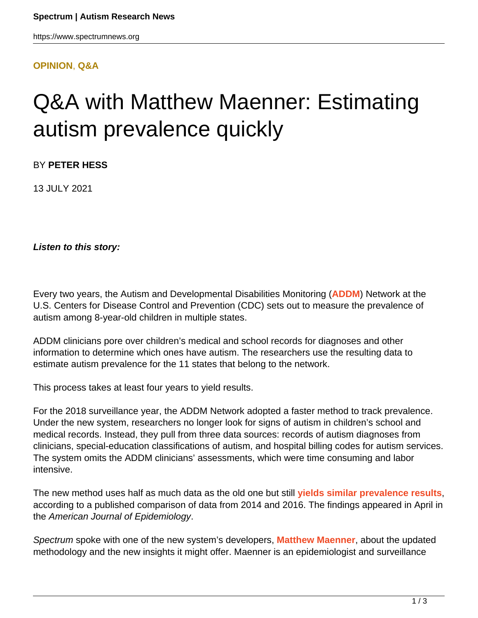#### **[OPINION](HTTPS://WWW.SPECTRUMNEWS.ORG/OPINION/)**, **[Q&A](HTTPS://WWW.SPECTRUMNEWS.ORG/OPINION/Q-AND-A/)**

# Q&A with Matthew Maenner: Estimating autism prevalence quickly

BY **PETER HESS**

13 JULY 2021

**Listen to this story:**

Every two years, the Autism and Developmental Disabilities Monitoring (**[ADDM](https://www.cdc.gov/ncbddd/autism/addm.html)**) Network at the U.S. Centers for Disease Control and Prevention (CDC) sets out to measure the prevalence of autism among 8-year-old children in multiple states.

ADDM clinicians pore over children's medical and school records for diagnoses and other information to determine which ones have autism. The researchers use the resulting data to estimate autism prevalence for the 11 states that belong to the network.

This process takes at least four years to yield results.

For the 2018 surveillance year, the ADDM Network adopted a faster method to track prevalence. Under the new system, researchers no longer look for signs of autism in children's school and medical records. Instead, they pull from three data sources: records of autism diagnoses from clinicians, special-education classifications of autism, and hospital billing codes for autism services. The system omits the ADDM clinicians' assessments, which were time consuming and labor intensive.

The new method uses half as much data as the old one but still **[yields similar prevalence results](https://doi.org/10.1093/aje/kwab106)**, according to a published comparison of data from 2014 and 2016. The findings appeared in April in the American Journal of Epidemiology.

Spectrum spoke with one of the new system's developers, **[Matthew Maenner](http://matthewmaenner.com/)**, about the updated methodology and the new insights it might offer. Maenner is an epidemiologist and surveillance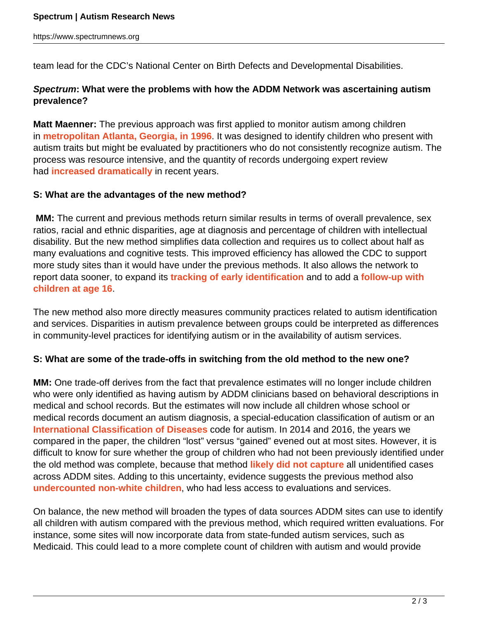team lead for the CDC's National Center on Birth Defects and Developmental Disabilities.

# **Spectrum: What were the problems with how the ADDM Network was ascertaining autism prevalence?**

**Matt Maenner:** The previous approach was first applied to monitor autism among children in **[metropolitan Atlanta, Georgia, in 1996](https://doi.org/10.1001/jama.289.1.49)**. It was designed to identify children who present with autism traits but might be evaluated by practitioners who do not consistently recognize autism. The process was resource intensive, and the quantity of records undergoing expert review had **[increased dramatically](https://doi.org/10.1371/journal.pone.0168224)** in recent years.

## **S: What are the advantages of the new method?**

**MM:** The current and previous methods return similar results in terms of overall prevalence, sex ratios, racial and ethnic disparities, age at diagnosis and percentage of children with intellectual disability. But the new method simplifies data collection and requires us to collect about half as many evaluations and cognitive tests. This improved efficiency has allowed the CDC to support more study sites than it would have under the previous methods. It also allows the network to report data sooner, to expand its **[tracking of early identification](https://www.cdc.gov/mmwr/volumes/69/ss/ss6903a1.htm?s_cid=ss6903a1_x)** and to add a **[follow-up with](https://www.spectrumnews.org/news/autism-prevalence-program-expands-include-teenagers/) [children at age 16](https://www.spectrumnews.org/news/autism-prevalence-program-expands-include-teenagers/)**.

The new method also more directly measures community practices related to autism identification and services. Disparities in autism prevalence between groups could be interpreted as differences in community-level practices for identifying autism or in the availability of autism services.

#### **S: What are some of the trade-offs in switching from the old method to the new one?**

**MM:** One trade-off derives from the fact that prevalence estimates will no longer include children who were only identified as having autism by ADDM clinicians based on behavioral descriptions in medical and school records. But the estimates will now include all children whose school or medical records document an autism diagnosis, a special-education classification of autism or an **[International Classification of Diseases](https://www.spectrumnews.org/news/new-global-diagnostic-manual-mirrors-u-s-autism-criteria/)** code for autism. In 2014 and 2016, the years we compared in the paper, the children "lost" versus "gained" evened out at most sites. However, it is difficult to know for sure whether the group of children who had not been previously identified under the old method was complete, because that method **[likely did not capture](https://doi.org/10.1177/1362361314562617)** all unidentified cases across ADDM sites. Adding to this uncertainty, evidence suggests the previous method also **[undercounted non-white children](https://www.spectrumnews.org/news/prevalence-estimates-autism-indicate-bias-non-white-groups/)**, who had less access to evaluations and services.

On balance, the new method will broaden the types of data sources ADDM sites can use to identify all children with autism compared with the previous method, which required written evaluations. For instance, some sites will now incorporate data from state-funded autism services, such as Medicaid. This could lead to a more complete count of children with autism and would provide